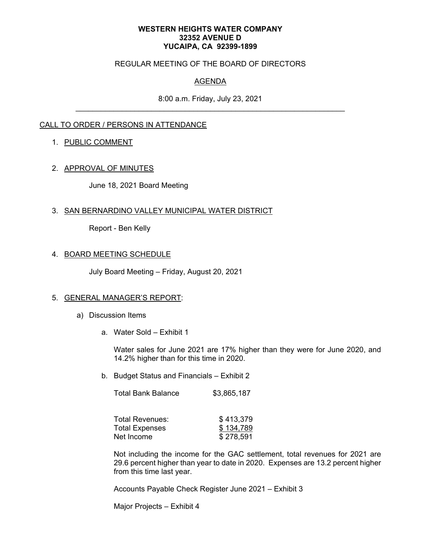#### **WESTERN HEIGHTS WATER COMPANY 32352 AVENUE D YUCAIPA, CA 92399-1899**

## REGULAR MEETING OF THE BOARD OF DIRECTORS

# AGENDA

8:00 a.m. Friday, July 23, 2021

## CALL TO ORDER / PERSONS IN ATTENDANCE

### 1. PUBLIC COMMENT

### 2. APPROVAL OF MINUTES

June 18, 2021 Board Meeting

### 3. SAN BERNARDINO VALLEY MUNICIPAL WATER DISTRICT

Report - Ben Kelly

### 4. BOARD MEETING SCHEDULE

July Board Meeting – Friday, August 20, 2021

#### 5. GENERAL MANAGER'S REPORT:

- a) Discussion Items
	- a. Water Sold Exhibit 1

Water sales for June 2021 are 17% higher than they were for June 2020, and 14.2% higher than for this time in 2020.

b. Budget Status and Financials – Exhibit 2

| <b>Total Bank Balance</b> | \$3,865,187 |
|---------------------------|-------------|
|---------------------------|-------------|

| Total Revenues: | \$413,379 |
|-----------------|-----------|
| Total Expenses  | \$134,789 |
| Net Income      | \$278,591 |

Not including the income for the GAC settlement, total revenues for 2021 are 29.6 percent higher than year to date in 2020. Expenses are 13.2 percent higher from this time last year.

Accounts Payable Check Register June 2021 – Exhibit 3

Major Projects – Exhibit 4